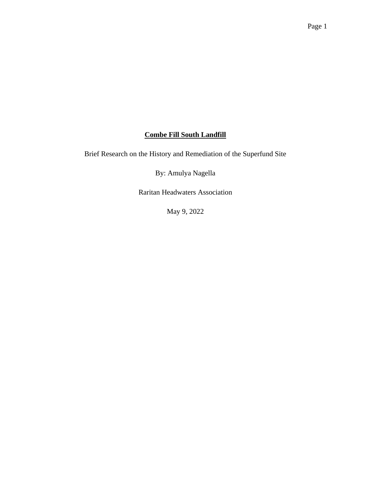# **Combe Fill South Landfill**

Brief Research on the History and Remediation of the Superfund Site

By: Amulya Nagella

Raritan Headwaters Association

May 9, 2022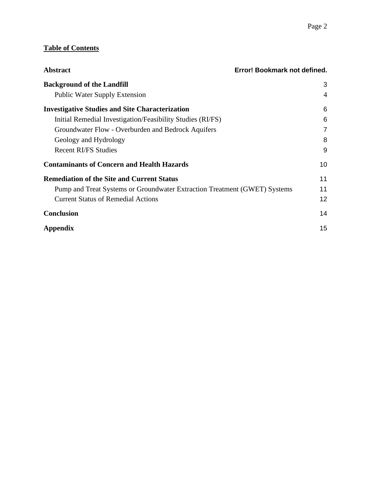# **Table of Contents**

| <b>Abstract</b>                                                           | Error! Bookmark not defined. |
|---------------------------------------------------------------------------|------------------------------|
| <b>Background of the Landfill</b>                                         | 3                            |
| <b>Public Water Supply Extension</b>                                      | $\overline{4}$               |
| <b>Investigative Studies and Site Characterization</b>                    | 6                            |
| Initial Remedial Investigation/Feasibility Studies (RI/FS)                | 6                            |
| Groundwater Flow - Overburden and Bedrock Aquifers                        | 7                            |
| Geology and Hydrology                                                     | 8                            |
| <b>Recent RI/FS Studies</b>                                               | 9                            |
| <b>Contaminants of Concern and Health Hazards</b>                         | 10                           |
| <b>Remediation of the Site and Current Status</b>                         | 11                           |
| Pump and Treat Systems or Groundwater Extraction Treatment (GWET) Systems | 11                           |
| <b>Current Status of Remedial Actions</b>                                 | 12                           |
| <b>Conclusion</b>                                                         | 14                           |
| Appendix                                                                  | 15                           |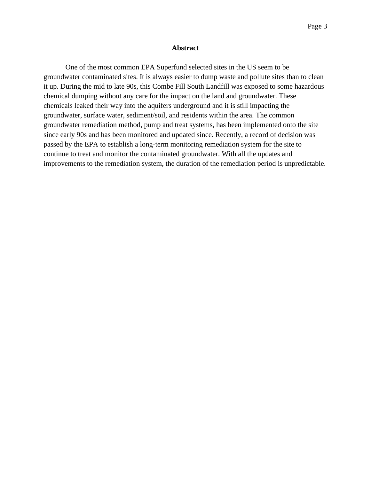#### **Abstract**

<span id="page-2-0"></span>One of the most common EPA Superfund selected sites in the US seem to be groundwater contaminated sites. It is always easier to dump waste and pollute sites than to clean it up. During the mid to late 90s, this Combe Fill South Landfill was exposed to some hazardous chemical dumping without any care for the impact on the land and groundwater. These chemicals leaked their way into the aquifers underground and it is still impacting the groundwater, surface water, sediment/soil, and residents within the area. The common groundwater remediation method, pump and treat systems, has been implemented onto the site since early 90s and has been monitored and updated since. Recently, a record of decision was passed by the EPA to establish a long-term monitoring remediation system for the site to continue to treat and monitor the contaminated groundwater. With all the updates and improvements to the remediation system, the duration of the remediation period is unpredictable.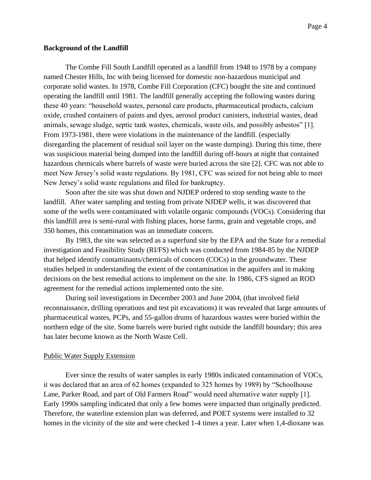#### **Background of the Landfill**

The Combe Fill South Landfill operated as a landfill from 1948 to 1978 by a company named Chester Hills, Inc with being licensed for domestic non-hazardous municipal and corporate solid wastes. In 1978, Combe Fill Corporation (CFC) bought the site and continued operating the landfill until 1981. The landfill generally accepting the following wastes during these 40 years: "household wastes, personal care products, pharmaceutical products, calcium oxide, crushed containers of paints and dyes, aerosol product canisters, industrial wastes, dead animals, sewage sludge, septic tank wastes, chemicals, waste oils, and possibly asbestos" [1]. From 1973-1981, there were violations in the maintenance of the landfill. (especially disregarding the placement of residual soil layer on the waste dumping). During this time, there was suspicious material being dumped into the landfill during off-hours at night that contained hazardous chemicals where barrels of waste were buried across the site [2]. CFC was not able to meet New Jersey's solid waste regulations. By 1981, CFC was seized for not being able to meet New Jersey's solid waste regulations and filed for bankruptcy.

Soon after the site was shut down and NJDEP ordered to stop sending waste to the landfill. After water sampling and testing from private NJDEP wells, it was discovered that some of the wells were contaminated with volatile organic compounds (VOCs). Considering that this landfill area is semi-rural with fishing places, horse farms, grain and vegetable crops, and 350 homes, this contamination was an immediate concern.

By 1983, the site was selected as a superfund site by the EPA and the State for a remedial investigation and Feasibility Study (RI/FS) which was conducted from 1984-85 by the NJDEP that helped identify contaminants/chemicals of concern (COCs) in the groundwater. These studies helped in understanding the extent of the contamination in the aquifers and in making decisions on the best remedial actions to implement on the site. In 1986, CFS signed an ROD agreement for the remedial actions implemented onto the site.

During soil investigations in December 2003 and June 2004, (that involved field reconnaissance, drilling operations and test pit excavations) it was revealed that large amounts of pharmaceutical wastes, PCPs, and 55-gallon drums of hazardous wastes were buried within the northern edge of the site. Some barrels were buried right outside the landfill boundary; this area has later become known as the North Waste Cell.

#### <span id="page-3-0"></span>Public Water Supply Extension

Ever since the results of water samples in early 1980s indicated contamination of VOCs, it was declared that an area of 62 homes (expanded to 325 homes by 1989) by "Schoolhouse Lane, Parker Road, and part of Old Farmers Road" would need alternative water supply [1]. Early 1990s sampling indicated that only a few homes were impacted than originally predicted. Therefore, the waterline extension plan was deferred, and POET systems were installed to 32 homes in the vicinity of the site and were checked 1-4 times a year. Later when 1,4-dioxane was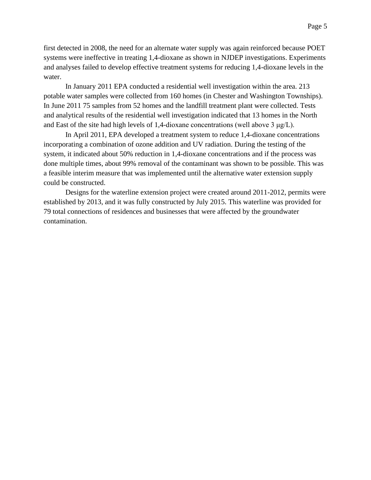first detected in 2008, the need for an alternate water supply was again reinforced because POET systems were ineffective in treating 1,4-dioxane as shown in NJDEP investigations. Experiments and analyses failed to develop effective treatment systems for reducing 1,4-dioxane levels in the water.

In January 2011 EPA conducted a residential well investigation within the area. 213 potable water samples were collected from 160 homes (in Chester and Washington Townships). In June 2011 75 samples from 52 homes and the landfill treatment plant were collected. Tests and analytical results of the residential well investigation indicated that 13 homes in the North and East of the site had high levels of 1,4-dioxane concentrations (well above 3 μg/L).

In April 2011, EPA developed a treatment system to reduce 1,4-dioxane concentrations incorporating a combination of ozone addition and UV radiation. During the testing of the system, it indicated about 50% reduction in 1,4-dioxane concentrations and if the process was done multiple times, about 99% removal of the contaminant was shown to be possible. This was a feasible interim measure that was implemented until the alternative water extension supply could be constructed.

Designs for the waterline extension project were created around 2011-2012, permits were established by 2013, and it was fully constructed by July 2015. This waterline was provided for 79 total connections of residences and businesses that were affected by the groundwater contamination.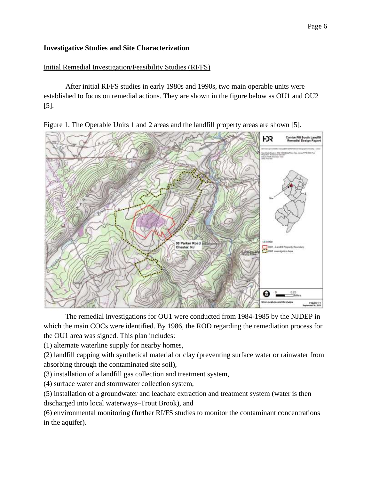### <span id="page-5-0"></span>**Investigative Studies and Site Characterization**

#### <span id="page-5-1"></span>Initial Remedial Investigation/Feasibility Studies (RI/FS)

After initial RI/FS studies in early 1980s and 1990s, two main operable units were established to focus on remedial actions. They are shown in the figure below as OU1 and OU2 [5].

Figure 1. The Operable Units 1 and 2 areas and the landfill property areas are shown [5].



The remedial investigations for OU1 were conducted from 1984-1985 by the NJDEP in which the main COCs were identified. By 1986, the ROD regarding the remediation process for the OU1 area was signed. This plan includes:

(1) alternate waterline supply for nearby homes,

(2) landfill capping with synthetical material or clay (preventing surface water or rainwater from absorbing through the contaminated site soil),

(3) installation of a landfill gas collection and treatment system,

(4) surface water and stormwater collection system,

(5) installation of a groundwater and leachate extraction and treatment system (water is then discharged into local waterways–Trout Brook), and

(6) environmental monitoring (further RI/FS studies to monitor the contaminant concentrations in the aquifer).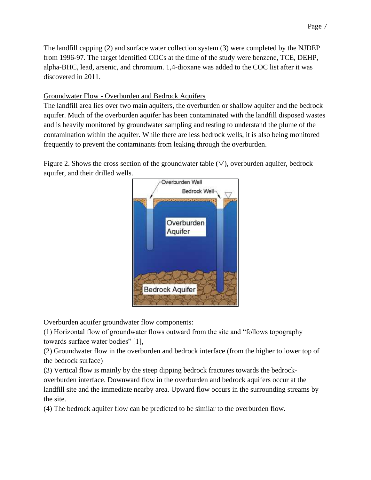The landfill capping (2) and surface water collection system (3) were completed by the NJDEP from 1996-97. The target identified COCs at the time of the study were benzene, TCE, DEHP, alpha-BHC, lead, arsenic, and chromium. 1,4-dioxane was added to the COC list after it was discovered in 2011.

# <span id="page-6-0"></span>Groundwater Flow - Overburden and Bedrock Aquifers

The landfill area lies over two main aquifers, the overburden or shallow aquifer and the bedrock aquifer. Much of the overburden aquifer has been contaminated with the landfill disposed wastes and is heavily monitored by groundwater sampling and testing to understand the plume of the contamination within the aquifer. While there are less bedrock wells, it is also being monitored frequently to prevent the contaminants from leaking through the overburden.

Figure 2. Shows the cross section of the groundwater table  $(\nabla)$ , overburden aquifer, bedrock aquifer, and their drilled wells.



Overburden aquifer groundwater flow components:

(1) Horizontal flow of groundwater flows outward from the site and "follows topography towards surface water bodies" [1],

(2) Groundwater flow in the overburden and bedrock interface (from the higher to lower top of the bedrock surface)

(3) Vertical flow is mainly by the steep dipping bedrock fractures towards the bedrockoverburden interface. Downward flow in the overburden and bedrock aquifers occur at the landfill site and the immediate nearby area. Upward flow occurs in the surrounding streams by the site.

(4) The bedrock aquifer flow can be predicted to be similar to the overburden flow.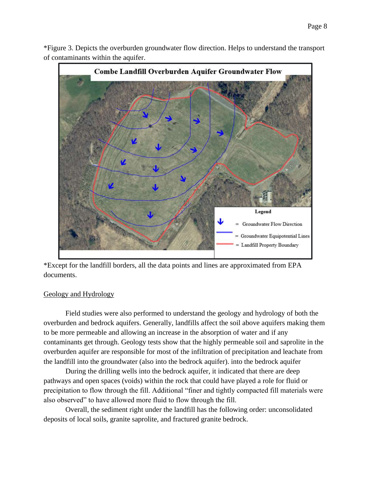\*Figure 3. Depicts the overburden groundwater flow direction. Helps to understand the transport of contaminants within the aquifer.



\*Except for the landfill borders, all the data points and lines are approximated from EPA documents.

#### <span id="page-7-0"></span>Geology and Hydrology

Field studies were also performed to understand the geology and hydrology of both the overburden and bedrock aquifers. Generally, landfills affect the soil above aquifers making them to be more permeable and allowing an increase in the absorption of water and if any contaminants get through. Geology tests show that the highly permeable soil and saprolite in the overburden aquifer are responsible for most of the infiltration of precipitation and leachate from the landfill into the groundwater (also into the bedrock aquifer). into the bedrock aquifer

During the drilling wells into the bedrock aquifer, it indicated that there are deep pathways and open spaces (voids) within the rock that could have played a role for fluid or precipitation to flow through the fill. Additional "finer and tightly compacted fill materials were also observed" to have allowed more fluid to flow through the fill.

Overall, the sediment right under the landfill has the following order: unconsolidated deposits of local soils, granite saprolite, and fractured granite bedrock.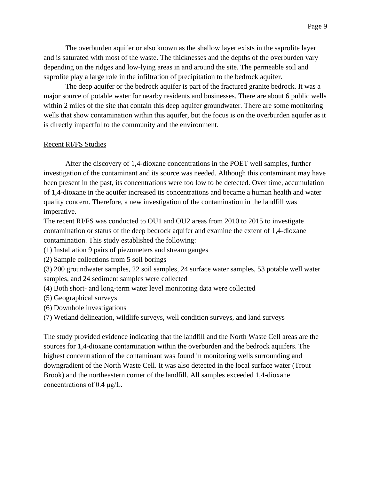The overburden aquifer or also known as the shallow layer exists in the saprolite layer and is saturated with most of the waste. The thicknesses and the depths of the overburden vary depending on the ridges and low-lying areas in and around the site. The permeable soil and saprolite play a large role in the infiltration of precipitation to the bedrock aquifer.

The deep aquifer or the bedrock aquifer is part of the fractured granite bedrock. It was a major source of potable water for nearby residents and businesses. There are about 6 public wells within 2 miles of the site that contain this deep aquifer groundwater. There are some monitoring wells that show contamination within this aquifer, but the focus is on the overburden aquifer as it is directly impactful to the community and the environment.

#### <span id="page-8-0"></span>Recent RI/FS Studies

After the discovery of 1,4-dioxane concentrations in the POET well samples, further investigation of the contaminant and its source was needed. Although this contaminant may have been present in the past, its concentrations were too low to be detected. Over time, accumulation of 1,4-dioxane in the aquifer increased its concentrations and became a human health and water quality concern. Therefore, a new investigation of the contamination in the landfill was imperative.

The recent RI/FS was conducted to OU1 and OU2 areas from 2010 to 2015 to investigate contamination or status of the deep bedrock aquifer and examine the extent of 1,4-dioxane contamination. This study established the following:

- (1) Installation 9 pairs of piezometers and stream gauges
- (2) Sample collections from 5 soil borings

(3) 200 groundwater samples, 22 soil samples, 24 surface water samples, 53 potable well water samples, and 24 sediment samples were collected

- (4) Both short- and long-term water level monitoring data were collected
- (5) Geographical surveys
- (6) Downhole investigations
- (7) Wetland delineation, wildlife surveys, well condition surveys, and land surveys

The study provided evidence indicating that the landfill and the North Waste Cell areas are the sources for 1,4-dioxane contamination within the overburden and the bedrock aquifers. The highest concentration of the contaminant was found in monitoring wells surrounding and downgradient of the North Waste Cell. It was also detected in the local surface water (Trout Brook) and the northeastern corner of the landfill. All samples exceeded 1,4-dioxane concentrations of 0.4 μg/L.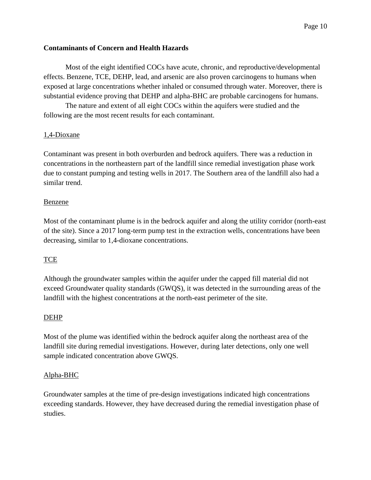### <span id="page-9-0"></span>**Contaminants of Concern and Health Hazards**

Most of the eight identified COCs have acute, chronic, and reproductive/developmental effects. Benzene, TCE, DEHP, lead, and arsenic are also proven carcinogens to humans when exposed at large concentrations whether inhaled or consumed through water. Moreover, there is substantial evidence proving that DEHP and alpha-BHC are probable carcinogens for humans.

The nature and extent of all eight COCs within the aquifers were studied and the following are the most recent results for each contaminant.

## 1,4-Dioxane

Contaminant was present in both overburden and bedrock aquifers. There was a reduction in concentrations in the northeastern part of the landfill since remedial investigation phase work due to constant pumping and testing wells in 2017. The Southern area of the landfill also had a similar trend.

### Benzene

Most of the contaminant plume is in the bedrock aquifer and along the utility corridor (north-east of the site). Since a 2017 long-term pump test in the extraction wells, concentrations have been decreasing, similar to 1,4-dioxane concentrations.

# **TCE**

Although the groundwater samples within the aquifer under the capped fill material did not exceed Groundwater quality standards (GWQS), it was detected in the surrounding areas of the landfill with the highest concentrations at the north-east perimeter of the site.

### DEHP

Most of the plume was identified within the bedrock aquifer along the northeast area of the landfill site during remedial investigations. However, during later detections, only one well sample indicated concentration above GWQS.

### Alpha-BHC

Groundwater samples at the time of pre-design investigations indicated high concentrations exceeding standards. However, they have decreased during the remedial investigation phase of studies.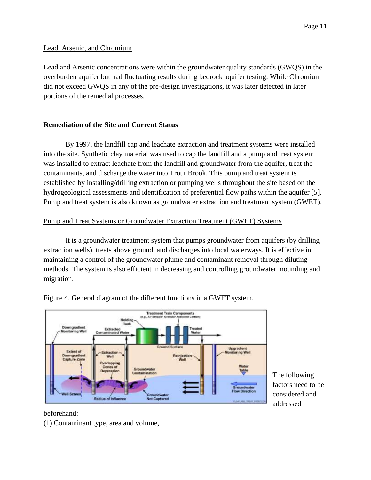#### Lead, Arsenic, and Chromium

Lead and Arsenic concentrations were within the groundwater quality standards (GWQS) in the overburden aquifer but had fluctuating results during bedrock aquifer testing. While Chromium did not exceed GWQS in any of the pre-design investigations, it was later detected in later portions of the remedial processes.

#### <span id="page-10-0"></span>**Remediation of the Site and Current Status**

By 1997, the landfill cap and leachate extraction and treatment systems were installed into the site. Synthetic clay material was used to cap the landfill and a pump and treat system was installed to extract leachate from the landfill and groundwater from the aquifer, treat the contaminants, and discharge the water into Trout Brook. This pump and treat system is established by installing/drilling extraction or pumping wells throughout the site based on the hydrogeological assessments and identification of preferential flow paths within the aquifer [5]. Pump and treat system is also known as groundwater extraction and treatment system (GWET).

#### <span id="page-10-1"></span>Pump and Treat Systems or Groundwater Extraction Treatment (GWET) Systems

It is a groundwater treatment system that pumps groundwater from aquifers (by drilling extraction wells), treats above ground, and discharges into local waterways. It is effective in maintaining a control of the groundwater plume and contaminant removal through diluting methods. The system is also efficient in decreasing and controlling groundwater mounding and migration.



Figure 4. General diagram of the different functions in a GWET system.

The following factors need to be considered and addressed

beforehand:

(1) Contaminant type, area and volume,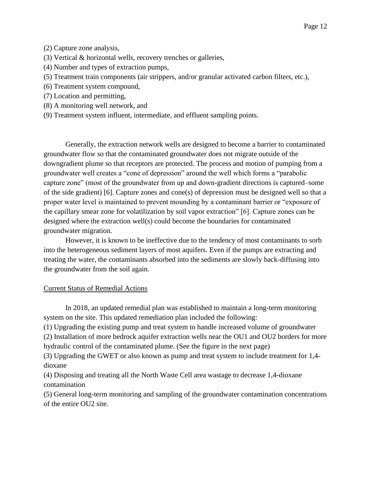- (2) Capture zone analysis,
- (3) Vertical & horizontal wells, recovery trenches or galleries,
- (4) Number and types of extraction pumps,
- (5) Treatment train components (air strippers, and/or granular activated carbon filters, etc.),
- (6) Treatment system compound,
- (7) Location and permitting,
- (8) A monitoring well network, and
- (9) Treatment system influent, intermediate, and effluent sampling points.

Generally, the extraction network wells are designed to become a barrier to contaminated groundwater flow so that the contaminated groundwater does not migrate outside of the downgradient plume so that receptors are protected. The process and motion of pumping from a groundwater well creates a "cone of depression" around the well which forms a "parabolic capture zone" (most of the groundwater from up and down-gradient directions is captured–some of the side gradient) [6]. Capture zones and cone(s) of depression must be designed well so that a proper water level is maintained to prevent mounding by a contaminant barrier or "exposure of the capillary smear zone for volatilization by soil vapor extraction" [6]. Capture zones can be designed where the extraction well(s) could become the boundaries for contaminated groundwater migration.

However, it is known to be ineffective due to the tendency of most contaminants to sorb into the heterogeneous sediment layers of most aquifers. Even if the pumps are extracting and treating the water, the contaminants absorbed into the sediments are slowly back-diffusing into the groundwater from the soil again.

# <span id="page-11-0"></span>Current Status of Remedial Actions

In 2018, an updated remedial plan was established to maintain a long-term monitoring system on the site. This updated remediation plan included the following:

(1) Upgrading the existing pump and treat system to handle increased volume of groundwater

(2) Installation of more bedrock aquifer extraction wells near the OU1 and OU2 borders for more hydraulic control of the contaminated plume. (See the figure in the next page)

(3) Upgrading the GWET or also known as pump and treat system to include treatment for 1,4 dioxane

(4) Disposing and treating all the North Waste Cell area wastage to decrease 1,4-dioxane contamination

(5) General long-term monitoring and sampling of the groundwater contamination concentrations of the entire OU2 site.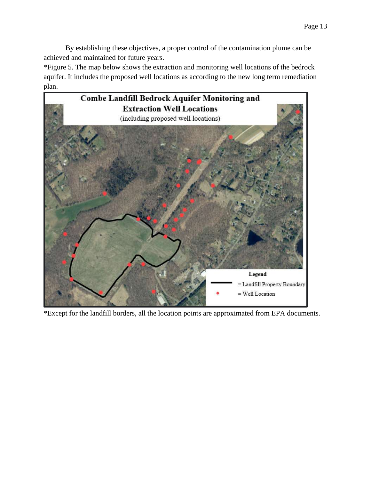By establishing these objectives, a proper control of the contamination plume can be achieved and maintained for future years.

\*Figure 5. The map below shows the extraction and monitoring well locations of the bedrock aquifer. It includes the proposed well locations as according to the new long term remediation plan.



\*Except for the landfill borders, all the location points are approximated from EPA documents.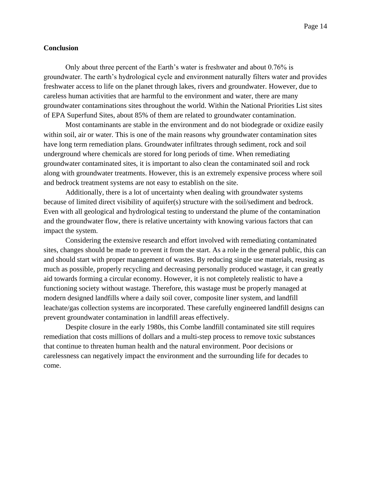#### <span id="page-13-0"></span>**Conclusion**

Only about three percent of the Earth's water is freshwater and about 0.76% is groundwater. The earth's hydrological cycle and environment naturally filters water and provides freshwater access to life on the planet through lakes, rivers and groundwater. However, due to careless human activities that are harmful to the environment and water, there are many groundwater contaminations sites throughout the world. Within the National Priorities List sites of EPA Superfund Sites, about 85% of them are related to groundwater contamination.

Most contaminants are stable in the environment and do not biodegrade or oxidize easily within soil, air or water. This is one of the main reasons why groundwater contamination sites have long term remediation plans. Groundwater infiltrates through sediment, rock and soil underground where chemicals are stored for long periods of time. When remediating groundwater contaminated sites, it is important to also clean the contaminated soil and rock along with groundwater treatments. However, this is an extremely expensive process where soil and bedrock treatment systems are not easy to establish on the site.

Additionally, there is a lot of uncertainty when dealing with groundwater systems because of limited direct visibility of aquifer(s) structure with the soil/sediment and bedrock. Even with all geological and hydrological testing to understand the plume of the contamination and the groundwater flow, there is relative uncertainty with knowing various factors that can impact the system.

Considering the extensive research and effort involved with remediating contaminated sites, changes should be made to prevent it from the start. As a role in the general public, this can and should start with proper management of wastes. By reducing single use materials, reusing as much as possible, properly recycling and decreasing personally produced wastage, it can greatly aid towards forming a circular economy. However, it is not completely realistic to have a functioning society without wastage. Therefore, this wastage must be properly managed at modern designed landfills where a daily soil cover, composite liner system, and landfill leachate/gas collection systems are incorporated. These carefully engineered landfill designs can prevent groundwater contamination in landfill areas effectively.

Despite closure in the early 1980s, this Combe landfill contaminated site still requires remediation that costs millions of dollars and a multi-step process to remove toxic substances that continue to threaten human health and the natural environment. Poor decisions or carelessness can negatively impact the environment and the surrounding life for decades to come.